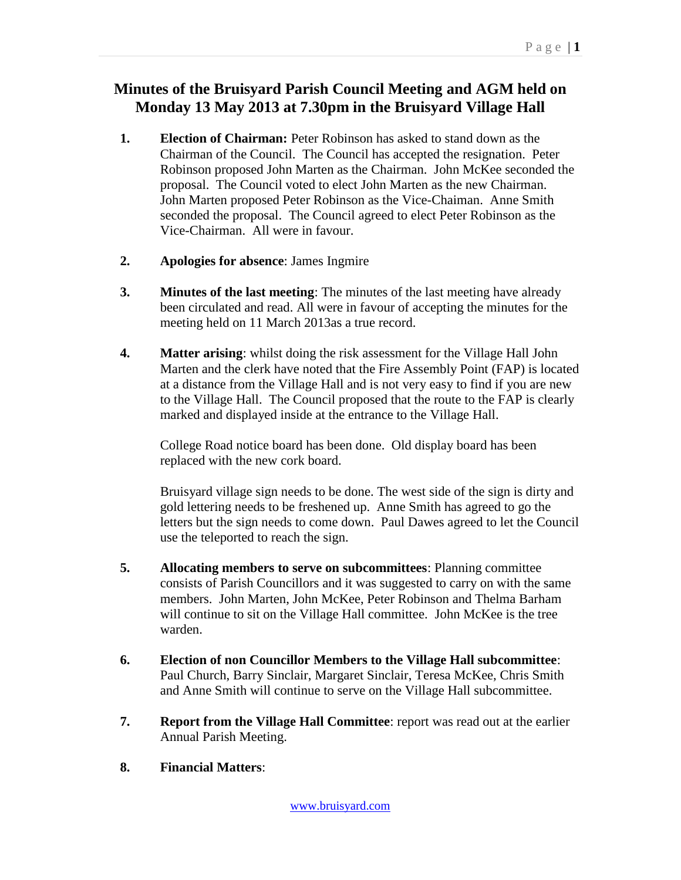## **Minutes of the Bruisyard Parish Council Meeting and AGM held on Monday 13 May 2013 at 7.30pm in the Bruisyard Village Hall**

- **1. Election of Chairman:** Peter Robinson has asked to stand down as the Chairman of the Council. The Council has accepted the resignation. Peter Robinson proposed John Marten as the Chairman. John McKee seconded the proposal. The Council voted to elect John Marten as the new Chairman. John Marten proposed Peter Robinson as the Vice-Chaiman. Anne Smith seconded the proposal. The Council agreed to elect Peter Robinson as the Vice-Chairman. All were in favour.
- **2. Apologies for absence**: James Ingmire
- **3. Minutes of the last meeting**: The minutes of the last meeting have already been circulated and read. All were in favour of accepting the minutes for the meeting held on 11 March 2013as a true record.
- **4. Matter arising**: whilst doing the risk assessment for the Village Hall John Marten and the clerk have noted that the Fire Assembly Point (FAP) is located at a distance from the Village Hall and is not very easy to find if you are new to the Village Hall. The Council proposed that the route to the FAP is clearly marked and displayed inside at the entrance to the Village Hall.

College Road notice board has been done. Old display board has been replaced with the new cork board.

Bruisyard village sign needs to be done. The west side of the sign is dirty and gold lettering needs to be freshened up. Anne Smith has agreed to go the letters but the sign needs to come down. Paul Dawes agreed to let the Council use the teleported to reach the sign.

- **5. Allocating members to serve on subcommittees**: Planning committee consists of Parish Councillors and it was suggested to carry on with the same members. John Marten, John McKee, Peter Robinson and Thelma Barham will continue to sit on the Village Hall committee. John McKee is the tree warden.
- **6. Election of non Councillor Members to the Village Hall subcommittee**: Paul Church, Barry Sinclair, Margaret Sinclair, Teresa McKee, Chris Smith and Anne Smith will continue to serve on the Village Hall subcommittee.
- **7. Report from the Village Hall Committee**: report was read out at the earlier Annual Parish Meeting.
- **8. Financial Matters**: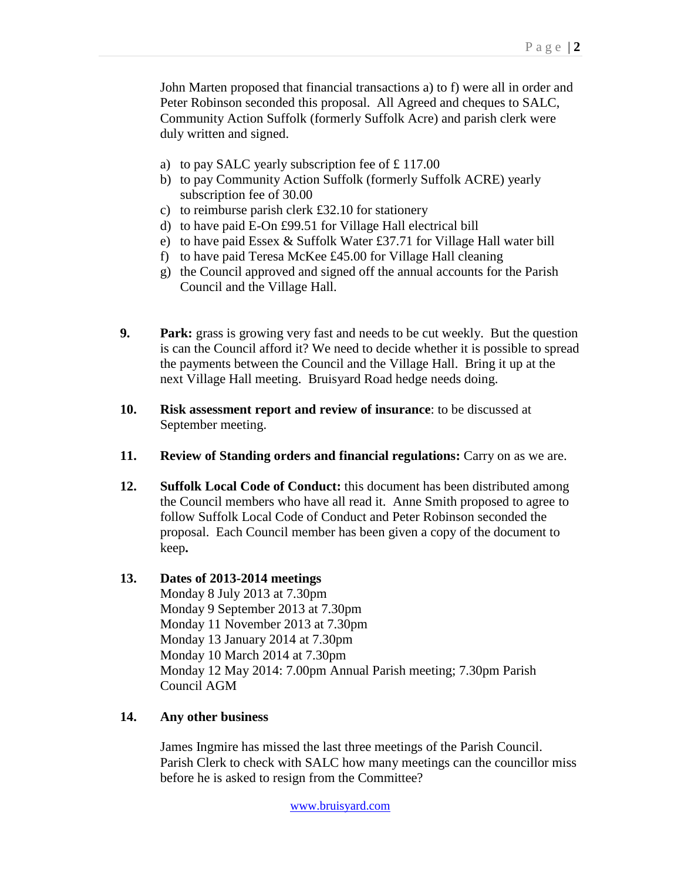John Marten proposed that financial transactions a) to f) were all in order and Peter Robinson seconded this proposal. All Agreed and cheques to SALC, Community Action Suffolk (formerly Suffolk Acre) and parish clerk were duly written and signed.

- a) to pay SALC yearly subscription fee of £ 117.00
- b) to pay Community Action Suffolk (formerly Suffolk ACRE) yearly subscription fee of 30.00
- c) to reimburse parish clerk £32.10 for stationery
- d) to have paid E-On £99.51 for Village Hall electrical bill
- e) to have paid Essex & Suffolk Water £37.71 for Village Hall water bill
- f) to have paid Teresa McKee £45.00 for Village Hall cleaning
- g) the Council approved and signed off the annual accounts for the Parish Council and the Village Hall.
- **9. Park:** grass is growing very fast and needs to be cut weekly. But the question is can the Council afford it? We need to decide whether it is possible to spread the payments between the Council and the Village Hall. Bring it up at the next Village Hall meeting. Bruisyard Road hedge needs doing.
- **10. Risk assessment report and review of insurance**: to be discussed at September meeting.
- **11. Review of Standing orders and financial regulations:** Carry on as we are.
- **12. Suffolk Local Code of Conduct:** this document has been distributed among the Council members who have all read it. Anne Smith proposed to agree to follow Suffolk Local Code of Conduct and Peter Robinson seconded the proposal. Each Council member has been given a copy of the document to keep**.**

## **13. Dates of 2013-2014 meetings**

Monday 8 July 2013 at 7.30pm Monday 9 September 2013 at 7.30pm Monday 11 November 2013 at 7.30pm Monday 13 January 2014 at 7.30pm Monday 10 March 2014 at 7.30pm Monday 12 May 2014: 7.00pm Annual Parish meeting; 7.30pm Parish Council AGM

## **14. Any other business**

James Ingmire has missed the last three meetings of the Parish Council. Parish Clerk to check with SALC how many meetings can the councillor miss before he is asked to resign from the Committee?